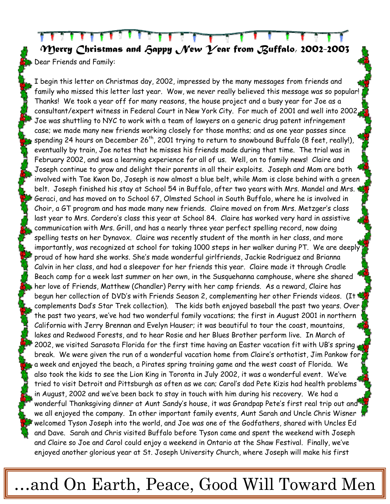*Merry Christmas and Happy New Year from Buffalo, 2002-2003*  Dear Friends and Family:

I begin this letter on Christmas day, 2002, impressed by the many messages from friends and family who missed this letter last year. Wow, we never really believed this message was so popular! Thanks! We took a year off for many reasons, the house project and a busy year for Joe as a consultant/expert witness in Federal Court in New York City. For much of 2001 and well into 2002, Joe was shuttling to NYC to work with a team of lawyers on a generic drug patent infringement case; we made many new friends working closely for those months; and as one year passes since spending 24 hours on December 26<sup>th</sup>, 2001 trying to return to snowbound Buffalo (8 feet, really!), eventually by train, Joe notes that he misses his friends made during that time. The trial was in February 2002, and was a learning experience for all of us. Well, on to family news! Claire and Joseph continue to grow and delight their parents in all their exploits. Joseph and Mom are both involved with Tae Kwon Do, Joseph is now almost a blue belt, while Mom is close behind with a green belt. Joseph finished his stay at School 54 in Buffalo, after two years with Mrs. Mandel and Mrs. Geraci, and has moved on to School 67, Olmsted School in South Buffalo, where he is involved in Choir, a GT program and has made many new friends. Claire moved on from Mrs. Metzger's class last year to Mrs. Cordero's class this year at School 84. Claire has worked very hard in assistive communication with Mrs. Grill, and has a nearly three year perfect spelling record, now doing spelling tests on her Dynavox. Claire was recently student of the month in her class, and more importantly, was recognized at school for taking 1000 steps in her walker during PT. We are deeply proud of how hard she works. She's made wonderful girlfriends, Jackie Rodriguez and Brianna Calvin in her class, and had a sleepover for her friends this year. Claire made it through Cradle Beach camp for a week last summer on her own, in the Susquehanna camphouse, where she shared her love of Friends, Matthew (Chandler) Perry with her camp friends. As a reward, Claire has begun her collection of DVD's with Friends Season 2, complementing her other Friends videos. (It complements Dad's Star Trek collection). The kids both enjoyed baseball the past two years. Over the past two years, we've had two wonderful family vacations; the first in August 2001 in northern California with Jerry Brennan and Evelyn Hauser; it was beautiful to tour the coast, mountains, lakes and Redwood Forests, and to hear Rosie and her Blues Brother perform live. In March of 2002, we visited Sarasota Florida for the first time having an Easter vacation fit with UB's spring break. We were given the run of a wonderful vacation home from Claire's orthotist, Jim Pankow for a week and enjoyed the beach, a Pirates spring training game and the west coast of Florida. We also took the kids to see the Lion King in Toronta in July 2002, it was a wonderful event. We've tried to visit Detroit and Pittsburgh as often as we can; Carol's dad Pete Kizis had health problems in August, 2002 and we've been back to stay in touch with him during his recovery. We had a wonderful Thanksgiving dinner at Aunt Sandy's house, it was Grandpap Pete's first real trip out and we all enjoyed the company. In other important family events, Aunt Sarah and Uncle Chris Wisner welcomed Tyson Joseph into the world, and Joe was one of the Godfathers, shared with Uncles Ed and Dave. Sarah and Chris visited Buffalo before Tyson came and spent the weekend with Joseph and Claire so Joe and Carol could enjoy a weekend in Ontario at the Shaw Festival. Finally, we've enjoyed another glorious year at St. Joseph University Church, where Joseph will make his first

## …and On Earth, Peace, Good Will Toward Men